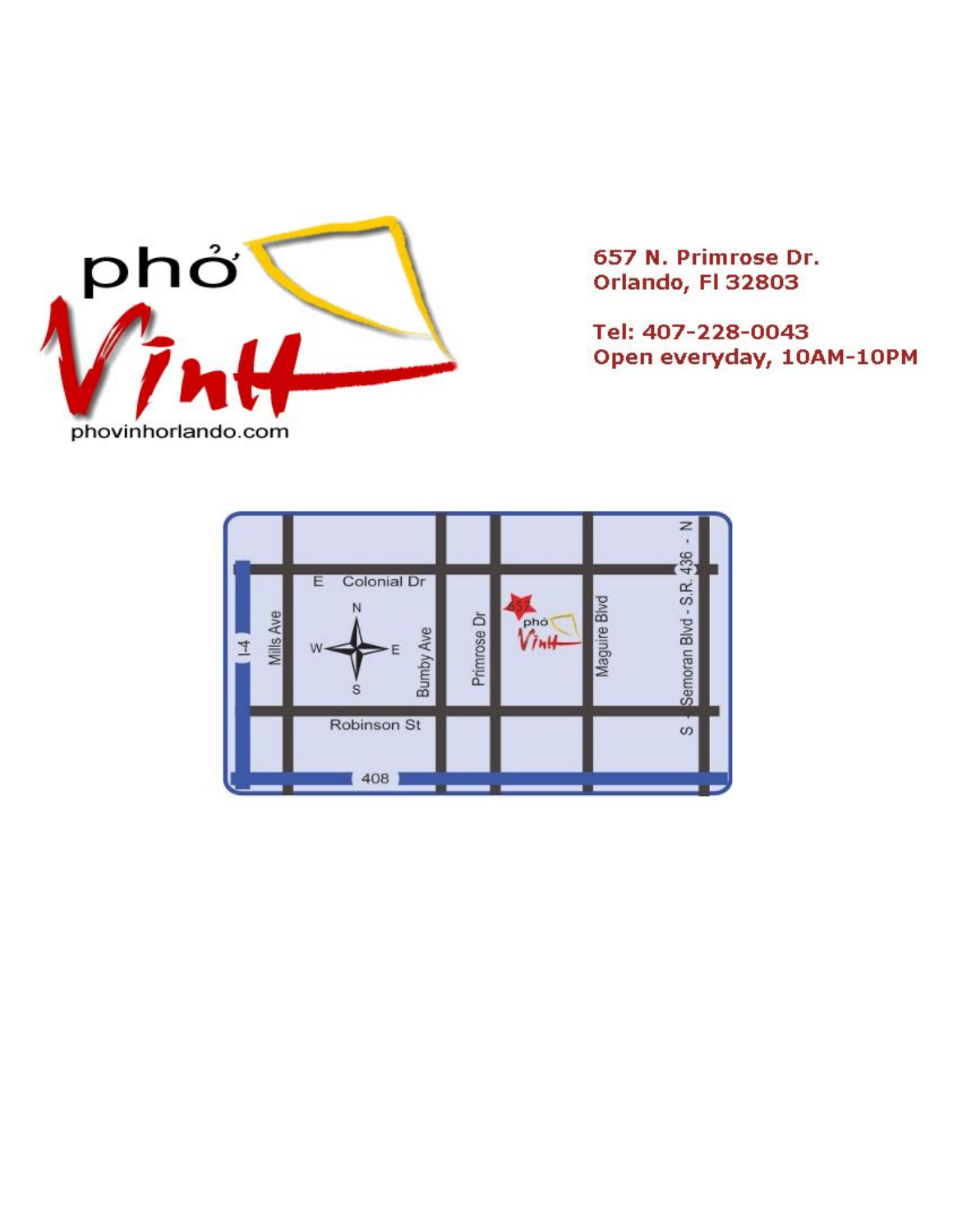

657 N. Primrose Dr. Orlando, Fl 32803

Tel: 407-228-0043 Open everyday, 10AM-10PM

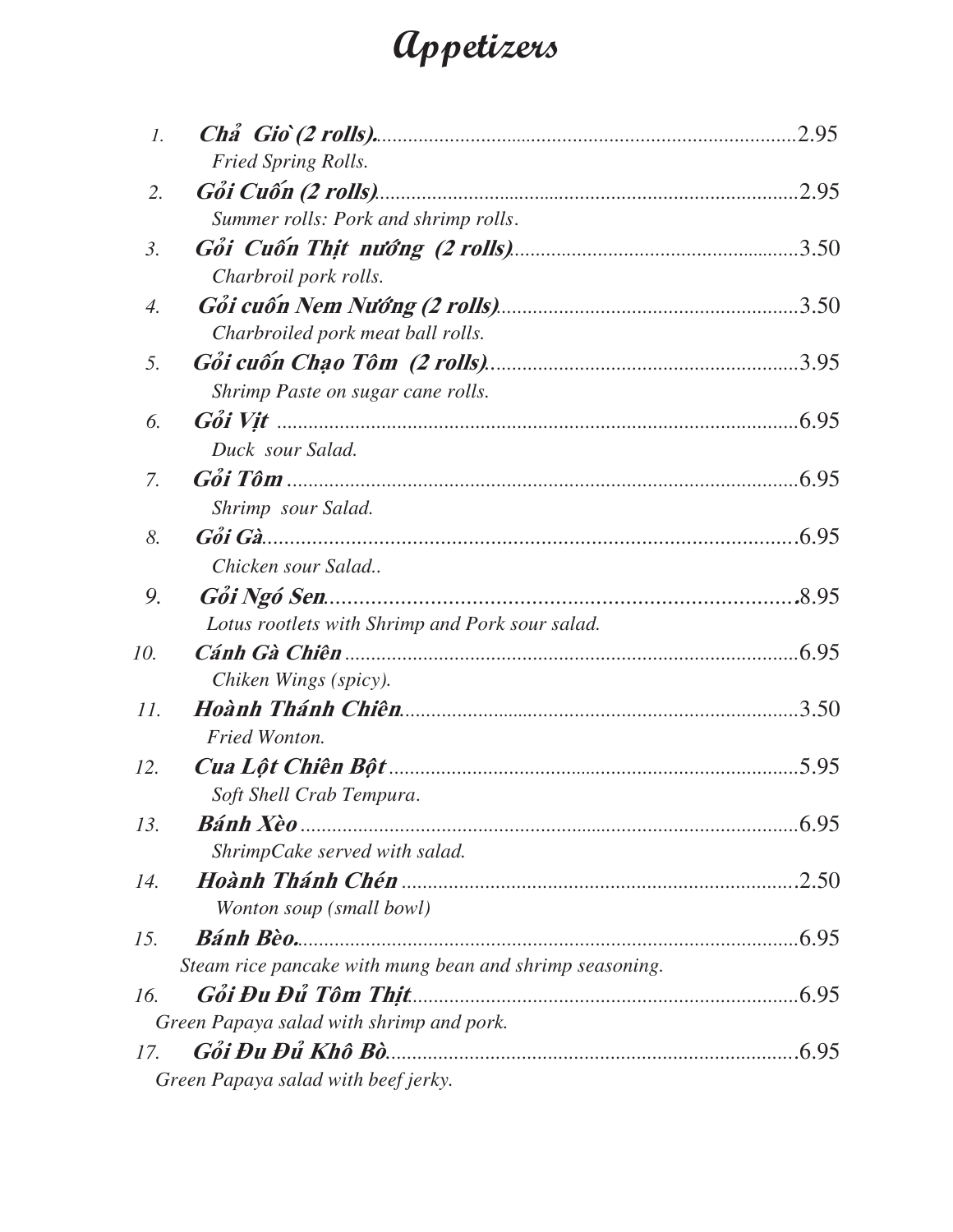### **Appetizers**

| $\mathcal{I}$ .  |                                                         | .2.95 |
|------------------|---------------------------------------------------------|-------|
|                  | Fried Spring Rolls.                                     |       |
| 2.               |                                                         | .2.95 |
|                  | Summer rolls: Pork and shrimp rolls.                    |       |
| $\mathfrak{Z}$ . |                                                         |       |
|                  | Charbroil pork rolls.                                   |       |
| 4.               |                                                         |       |
|                  | Charbroiled pork meat ball rolls.                       |       |
| 5.               |                                                         |       |
|                  | Shrimp Paste on sugar cane rolls.                       |       |
| 6.               |                                                         |       |
|                  | Duck sour Salad.                                        |       |
| 7.               |                                                         |       |
|                  | Shrimp sour Salad.                                      |       |
| 8.               |                                                         |       |
|                  | Chicken sour Salad                                      |       |
| 9.               |                                                         |       |
|                  | Lotus rootlets with Shrimp and Pork sour salad.         |       |
| 10.              |                                                         |       |
|                  | Chiken Wings (spicy).                                   |       |
| 11.              |                                                         | .3.50 |
|                  | <b>Fried Wonton.</b>                                    |       |
| 12.              |                                                         | .5.95 |
|                  | Soft Shell Crab Tempura.                                |       |
| 13.              |                                                         |       |
|                  | ShrimpCake served with salad.                           |       |
| 14.              |                                                         |       |
|                  | Wonton soup (small bowl)                                |       |
| 15.              |                                                         |       |
|                  | Steam rice pancake with mung bean and shrimp seasoning. |       |
| 16.              |                                                         |       |
|                  | Green Papaya salad with shrimp and pork.                |       |
| 17.              |                                                         |       |
|                  | Green Papaya salad with beef jerky.                     |       |
|                  |                                                         |       |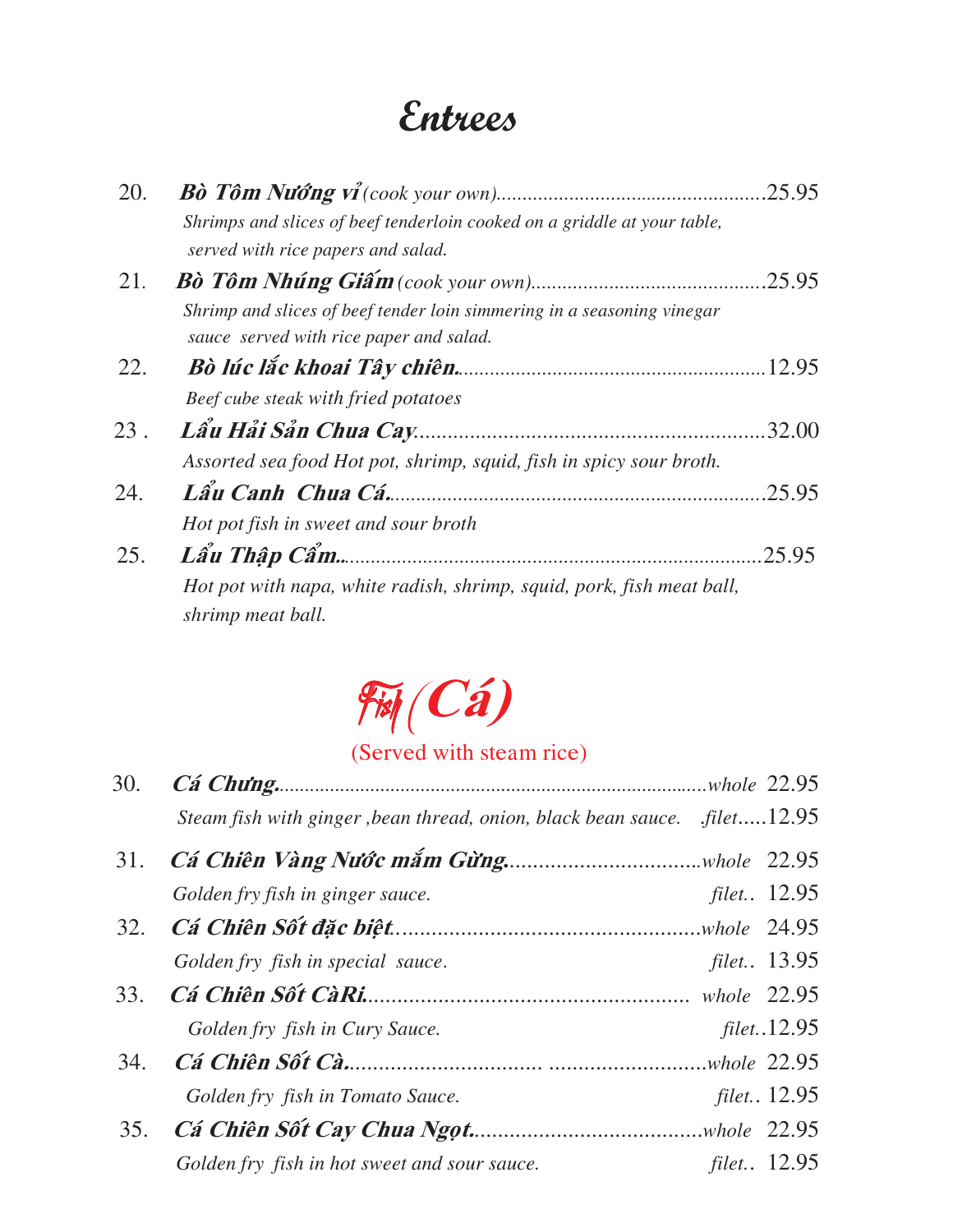### **Entrees**

| 20. |                                                                                                                |        |
|-----|----------------------------------------------------------------------------------------------------------------|--------|
|     | Shrimps and slices of beef tenderloin cooked on a griddle at your table,<br>served with rice papers and salad. |        |
| 21. | Shrimp and slices of beef tender loin simmering in a seasoning vinegar                                         |        |
|     | sauce served with rice paper and salad.                                                                        |        |
| 22. | Beef cube steak with fried potatoes                                                                            |        |
| 23. | Assorted sea food Hot pot, shrimp, squid, fish in spicy sour broth.                                            | .32.00 |
| 24. | Lẩu Canh Chua Cá.<br>Hot pot fish in sweet and sour broth                                                      | .25.95 |
| 25. |                                                                                                                | 25.95  |
|     | Hot pot with napa, white radish, shrimp, squid, pork, fish meat ball,<br>shrimp meat ball.                     |        |



#### (Served with steam rice)

| 30. |                                              |                                                                           |
|-----|----------------------------------------------|---------------------------------------------------------------------------|
|     |                                              |                                                                           |
|     |                                              |                                                                           |
|     | Golden fry fish in ginger sauce.             | filet 12.95                                                               |
|     |                                              |                                                                           |
|     | Golden fry fish in special sauce.            | filet 13.95                                                               |
|     |                                              |                                                                           |
|     | Golden fry fish in Cury Sauce.               | filet12.95                                                                |
|     |                                              |                                                                           |
|     | Golden fry fish in Tomato Sauce.             | filet 12.95                                                               |
|     |                                              |                                                                           |
|     | Golden fry fish in hot sweet and sour sauce. | <i>filet</i> 12.95                                                        |
|     |                                              | Steam fish with ginger, bean thread, onion, black bean sauce. .filet12.95 |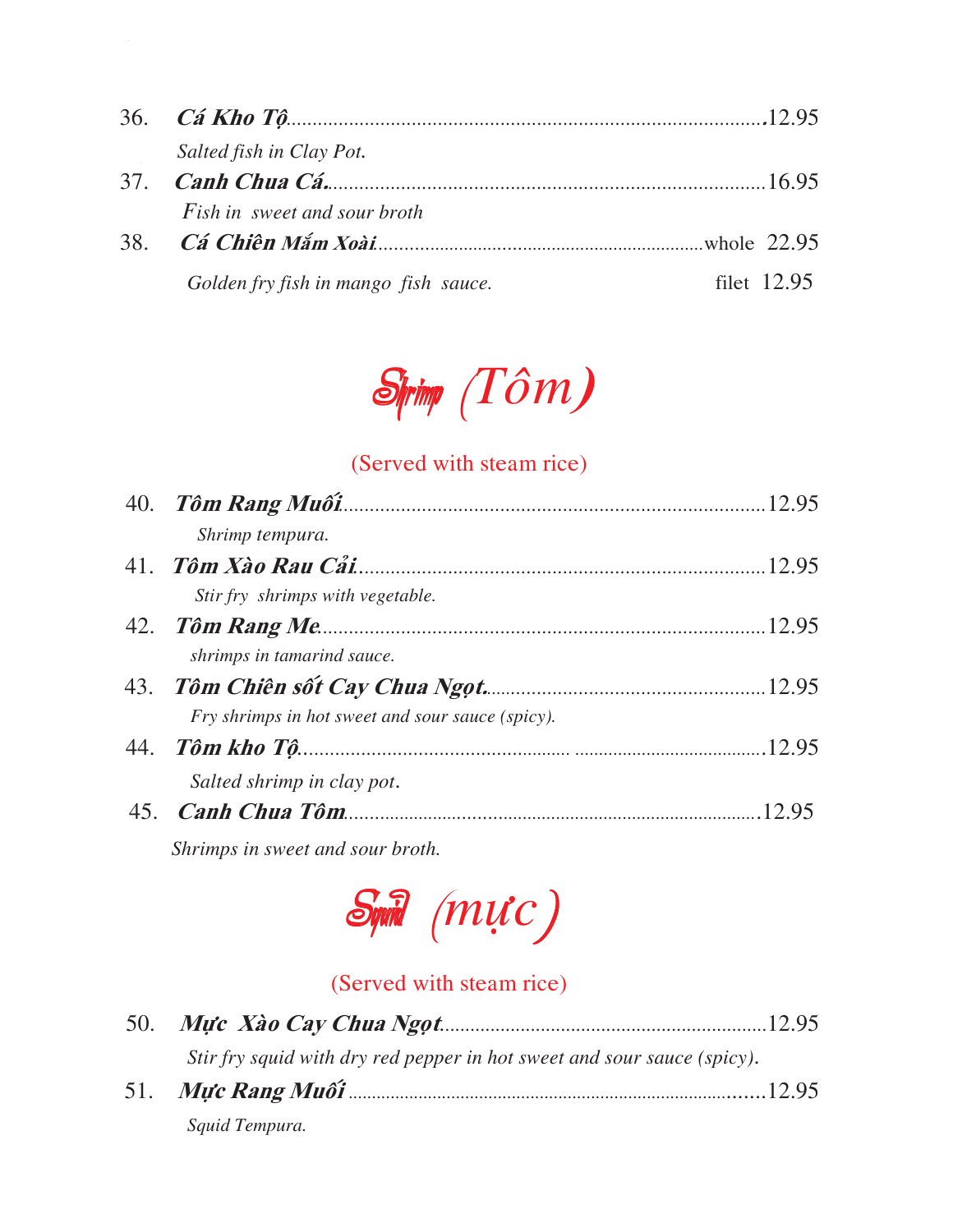| Salted fish in Clay Pot.             |               |
|--------------------------------------|---------------|
|                                      |               |
| <i>Fish in sweet and sour broth</i>  |               |
|                                      |               |
| Golden fry fish in mango fish sauce. | filet $12.95$ |



#### (Served with steam rice)

| Shrimp tempura.                                  |  |
|--------------------------------------------------|--|
|                                                  |  |
| Stir fry shrimps with vegetable.                 |  |
|                                                  |  |
| shrimps in tamarind sauce.                       |  |
|                                                  |  |
| Fry shrimps in hot sweet and sour sauce (spicy). |  |
|                                                  |  |
| Salted shrimp in clay pot.                       |  |
|                                                  |  |
|                                                  |  |

 *Shrimps in sweet and sour broth.* 



#### (Served with steam rice)

|  | Stir fry squid with dry red pepper in hot sweet and sour sauce (spicy). |  |
|--|-------------------------------------------------------------------------|--|
|  |                                                                         |  |
|  | Squid Tempura.                                                          |  |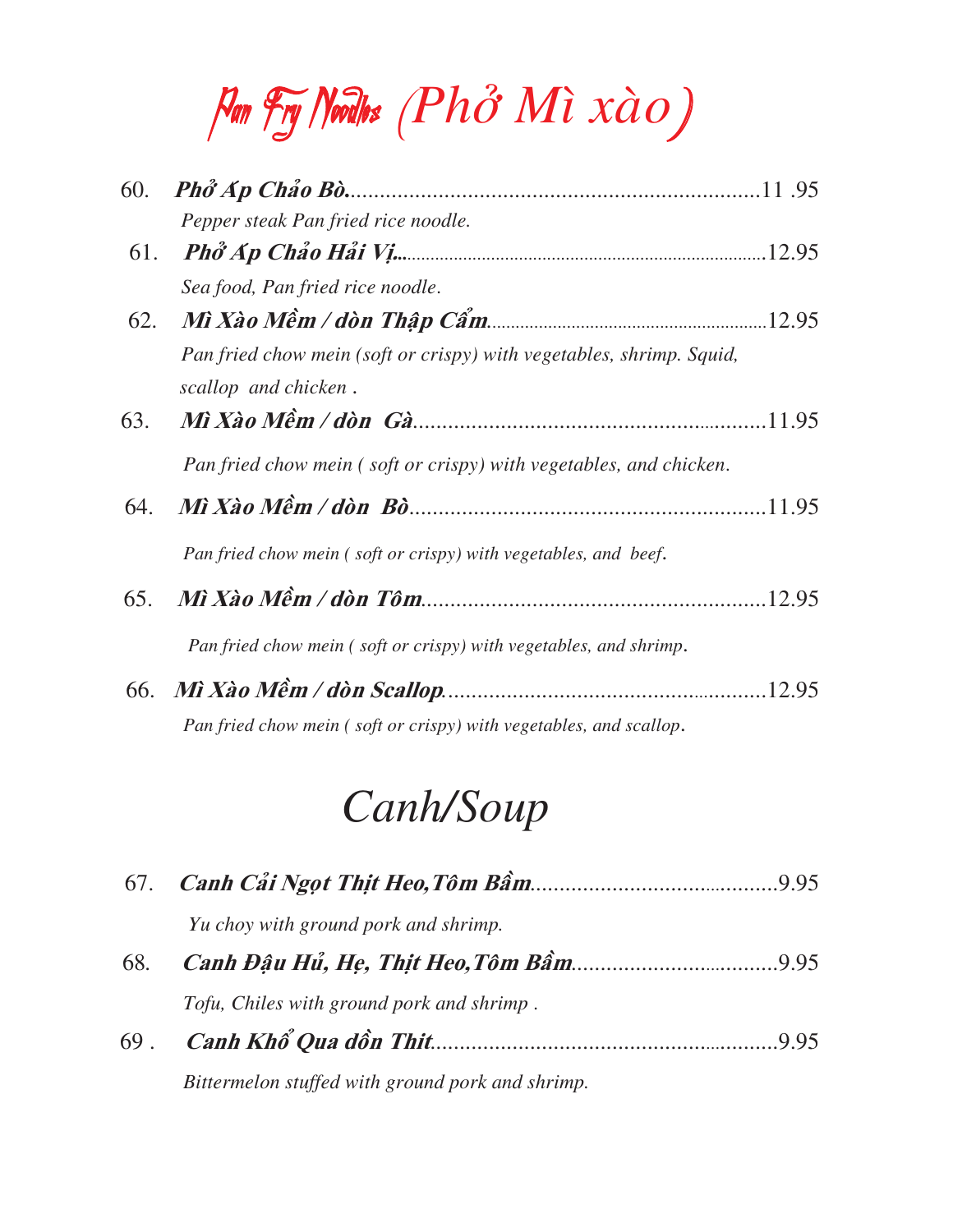# Pan Fry Noodles (*Phôû Mì xaøo*)

| 60. |                                                                                              |  |
|-----|----------------------------------------------------------------------------------------------|--|
|     | Pepper steak Pan fried rice noodle.                                                          |  |
|     |                                                                                              |  |
|     | Sea food, Pan fried rice noodle.                                                             |  |
|     |                                                                                              |  |
|     | Pan fried chow mein (soft or crispy) with vegetables, shrimp. Squid,<br>scallop and chicken. |  |
| 63. |                                                                                              |  |
|     | Pan fried chow mein (soft or crispy) with vegetables, and chicken.                           |  |
| 64. |                                                                                              |  |
|     | Pan fried chow mein (soft or crispy) with vegetables, and beef.                              |  |
|     |                                                                                              |  |
|     | Pan fried chow mein (soft or crispy) with vegetables, and shrimp.                            |  |
|     |                                                                                              |  |
|     | Pan fried chow mein (soft or crispy) with vegetables, and scallop.                           |  |

# *Canh/Soup*

|     | Yu choy with ground pork and shrimp.             |     |
|-----|--------------------------------------------------|-----|
| 68. |                                                  |     |
|     | Tofu, Chiles with ground pork and shrimp.        |     |
| 69. |                                                  | 995 |
|     | Bittermelon stuffed with ground pork and shrimp. |     |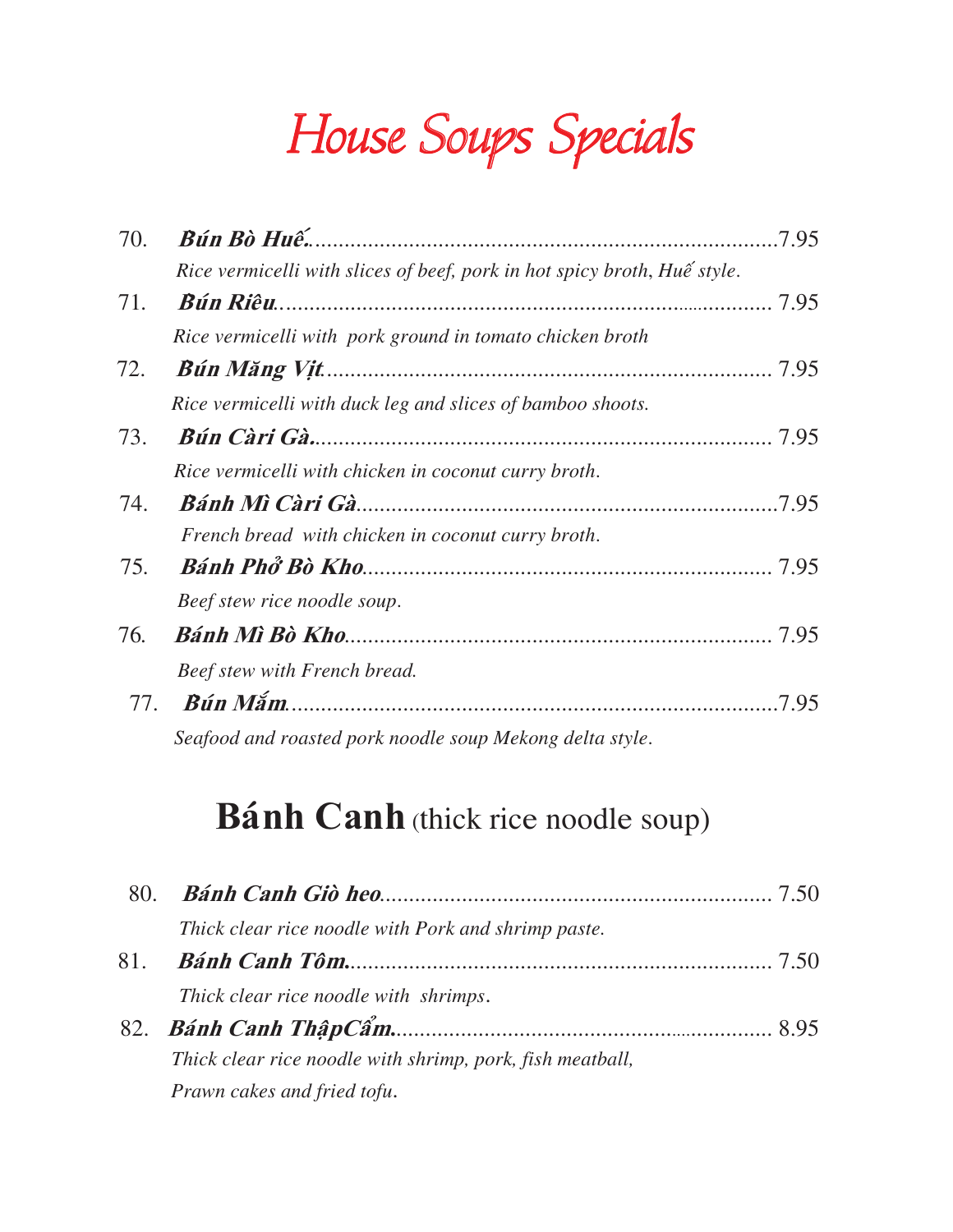House Soups Specials

| 70. |                                                                          | .7.95 |
|-----|--------------------------------------------------------------------------|-------|
|     | Rice vermicelli with slices of beef, pork in hot spicy broth, Huế style. |       |
| 71. |                                                                          |       |
|     | Rice vermicelli with pork ground in tomato chicken broth                 |       |
| 72. |                                                                          |       |
|     | Rice vermicelli with duck leg and slices of bamboo shoots.               |       |
| 73. |                                                                          |       |
|     | Rice vermicelli with chicken in coconut curry broth.                     |       |
| 74. |                                                                          |       |
|     | French bread with chicken in coconut curry broth.                        |       |
| 75. |                                                                          |       |
|     | Beef stew rice noodle soup.                                              |       |
| 76. |                                                                          |       |
|     | Beef stew with French bread.                                             |       |
| 77. |                                                                          | .7.95 |
|     | Seafood and roasted pork noodle soup Mekong delta style.                 |       |

### **Bánh Canh** (thick rice noodle soup)

| 80. |                                                           |  |
|-----|-----------------------------------------------------------|--|
|     | Thick clear rice noodle with Pork and shrimp paste.       |  |
| 81. |                                                           |  |
|     | Thick clear rice noodle with shrimps.                     |  |
|     |                                                           |  |
|     | Thick clear rice noodle with shrimp, pork, fish meatball, |  |
|     | Prawn cakes and fried tofu.                               |  |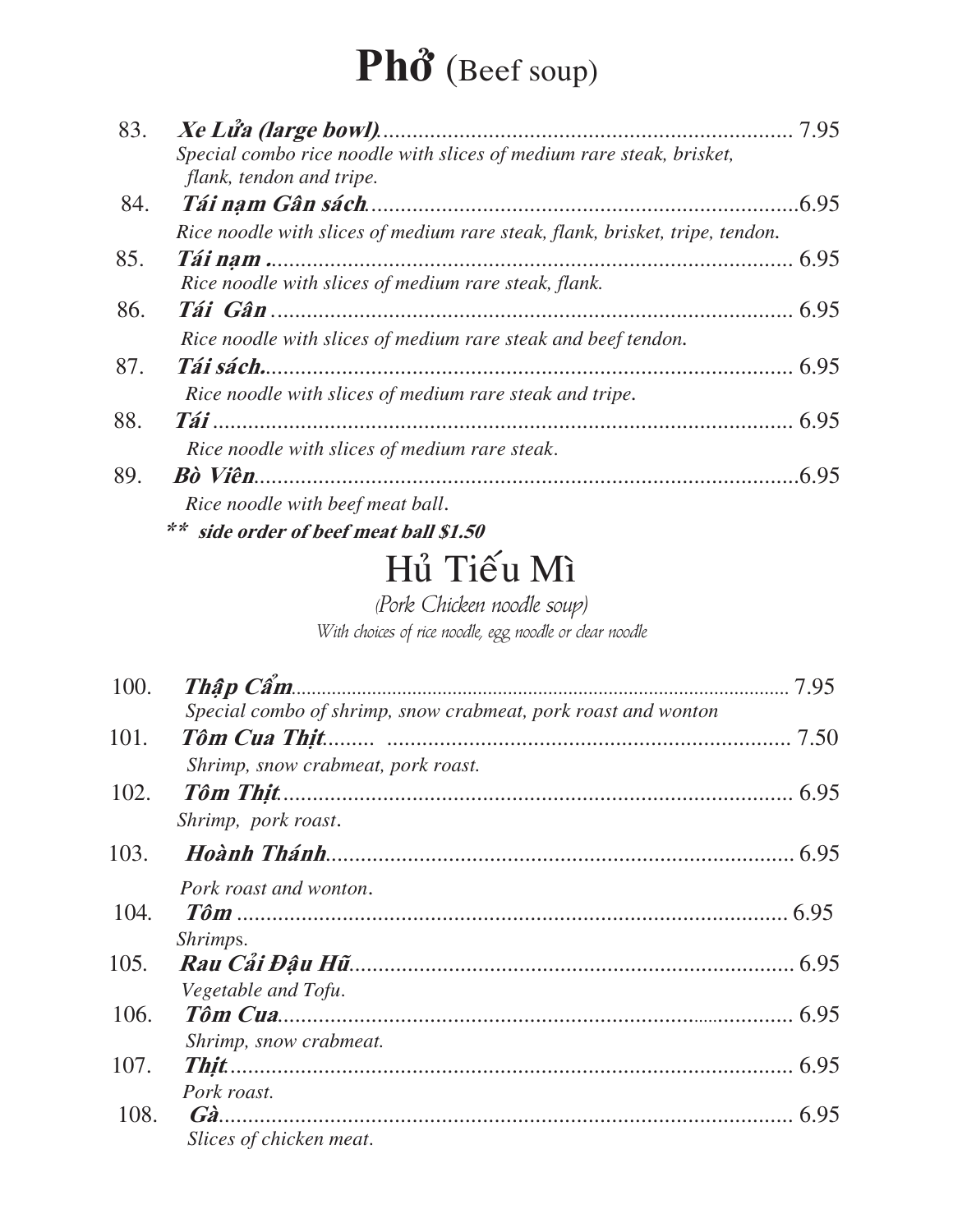## Phổ (Beef soup)

| 83. | Special combo rice noodle with slices of medium rare steak, brisket,         |       |
|-----|------------------------------------------------------------------------------|-------|
|     | flank, tendon and tripe.                                                     |       |
| 84. |                                                                              |       |
|     | Rice noodle with slices of medium rare steak, flank, brisket, tripe, tendon. |       |
| 85. |                                                                              |       |
|     | Rice noodle with slices of medium rare steak, flank.                         |       |
| 86. |                                                                              |       |
|     | Rice noodle with slices of medium rare steak and beef tendon.                |       |
| 87. | Tái sách.                                                                    |       |
|     | Rice noodle with slices of medium rare steak and tripe.                      |       |
| 88. |                                                                              |       |
|     | Rice noodle with slices of medium rare steak.                                |       |
| 89. |                                                                              | .6.95 |
|     | Rice noodle with beef meat ball.                                             |       |
|     | ** side order of beef meat ball \$1.50                                       |       |

### Hủ Tiếu Mì

(Pork Chicken noodle soup)

With choices of rice noodle, egg noodle or clear noodle

| 100. |                                                               |  |
|------|---------------------------------------------------------------|--|
|      | Special combo of shrimp, snow crabmeat, pork roast and wonton |  |
| 101. |                                                               |  |
|      | Shrimp, snow crabmeat, pork roast.                            |  |
| 102. |                                                               |  |
|      | Shrimp, pork roast.                                           |  |
| 103. |                                                               |  |
|      | Pork roast and wonton.                                        |  |
| 104. |                                                               |  |
|      | Shrimps.                                                      |  |
| 105. |                                                               |  |
|      | Vegetable and Tofu.                                           |  |
| 106. |                                                               |  |
|      | Shrimp, snow crabmeat.                                        |  |
| 107. |                                                               |  |
|      | Pork roast.                                                   |  |
| 108. |                                                               |  |
|      | Slices of chicken meat.                                       |  |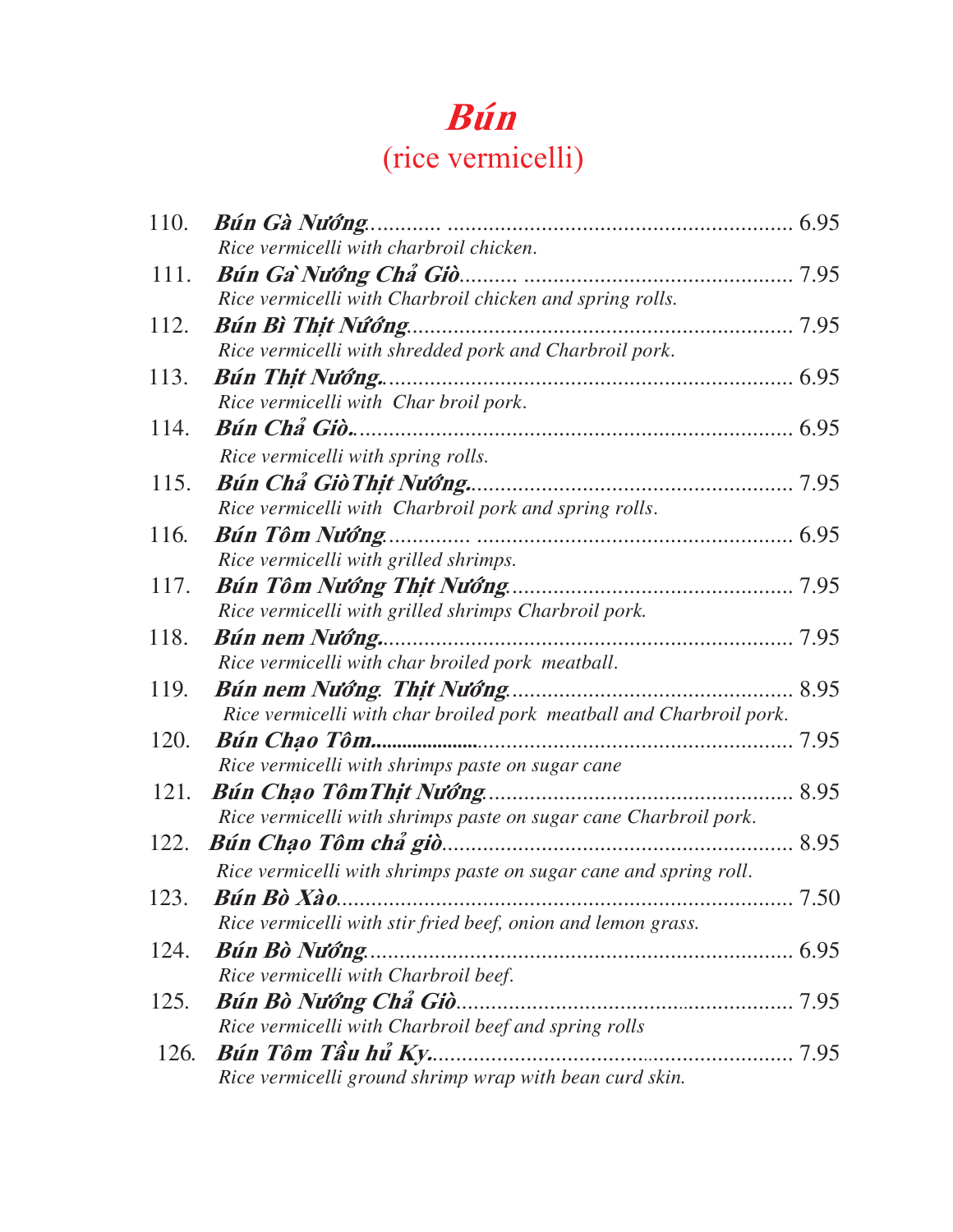#### **Buùn** (rice vermicelli)

| 110. |                                                                     |  |
|------|---------------------------------------------------------------------|--|
|      | Rice vermicelli with charbroil chicken.                             |  |
| 111. |                                                                     |  |
|      | Rice vermicelli with Charbroil chicken and spring rolls.            |  |
| 112. | Bún Bì Thịt Nứớng                                                   |  |
|      | Rice vermicelli with shredded pork and Charbroil pork.              |  |
| 113. |                                                                     |  |
|      | Rice vermicelli with Char broil pork.                               |  |
| 114. |                                                                     |  |
|      | Rice vermicelli with spring rolls.                                  |  |
| 115. |                                                                     |  |
|      | Rice vermicelli with Charbroil pork and spring rolls.               |  |
| 116. |                                                                     |  |
|      | Rice vermicelli with grilled shrimps.                               |  |
| 117. |                                                                     |  |
| 118. | Rice vermicelli with grilled shrimps Charbroil pork.                |  |
|      | Rice vermicelli with char broiled pork meatball.                    |  |
| 119. |                                                                     |  |
|      | Rice vermicelli with char broiled pork meatball and Charbroil pork. |  |
| 120. |                                                                     |  |
|      | Rice vermicelli with shrimps paste on sugar cane                    |  |
| 121. |                                                                     |  |
|      | Rice vermicelli with shrimps paste on sugar cane Charbroil pork.    |  |
|      |                                                                     |  |
|      | Rice vermicelli with shrimps paste on sugar cane and spring roll.   |  |
| 123. |                                                                     |  |
|      | Rice vermicelli with stir fried beef, onion and lemon grass.        |  |
| 124. | Bún Bò Nướng.                                                       |  |
|      | Rice vermicelli with Charbroil beef.                                |  |
| 125. |                                                                     |  |
|      | Rice vermicelli with Charbroil beef and spring rolls                |  |
| 126. | Bún Tôm Tầu hủ Ky                                                   |  |
|      | Rice vermicelli ground shrimp wrap with bean curd skin.             |  |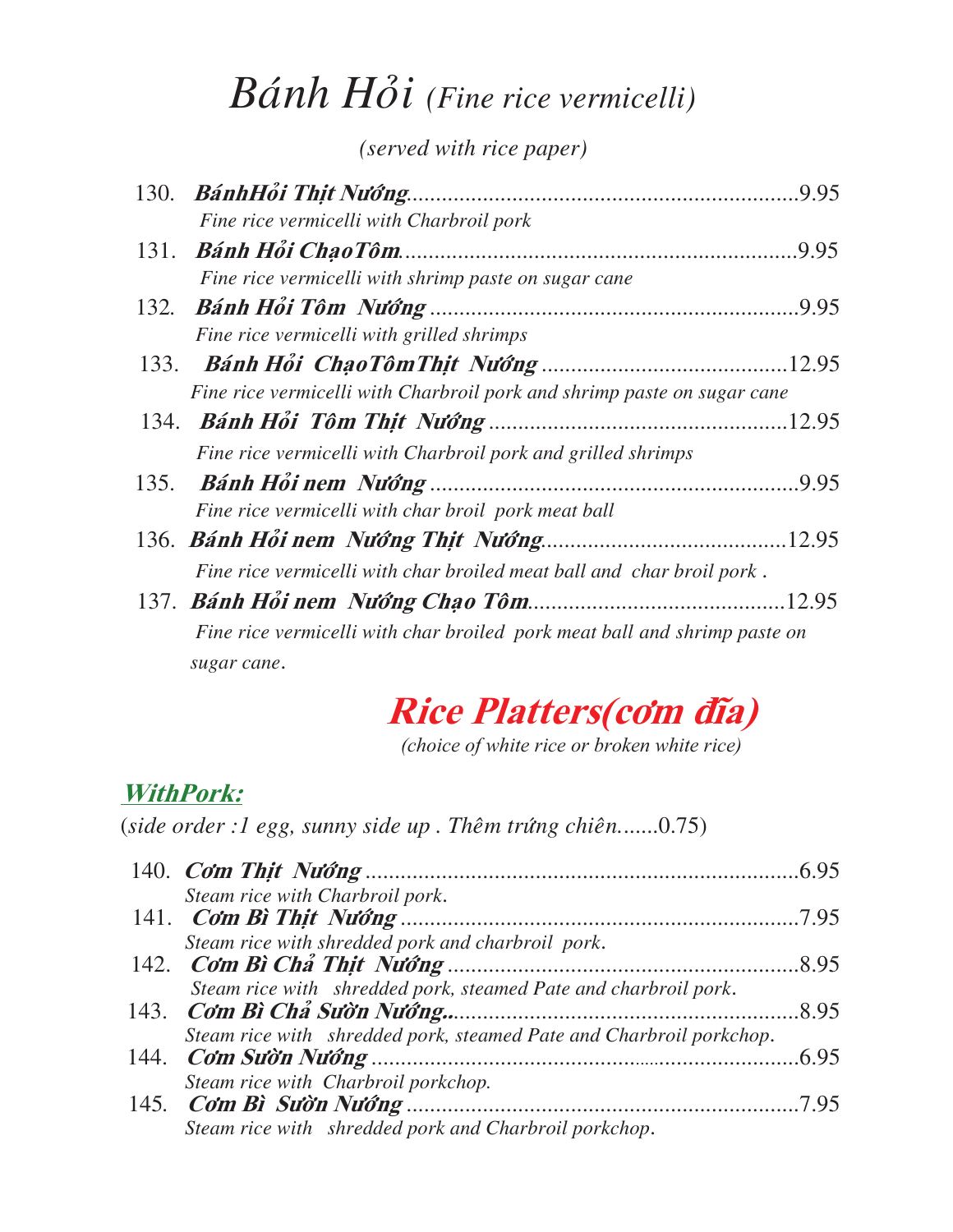### *Bánh Hồi (Fine rice vermicelli)*

*(served with rice paper)*

|  | Fine rice vermicelli with Charbroil pork                                  |
|--|---------------------------------------------------------------------------|
|  |                                                                           |
|  | Fine rice vermicelli with shrimp paste on sugar cane                      |
|  |                                                                           |
|  | Fine rice vermicelli with grilled shrimps                                 |
|  |                                                                           |
|  | Fine rice vermicelli with Charbroil pork and shrimp paste on sugar cane   |
|  |                                                                           |
|  | Fine rice vermicelli with Charbroil pork and grilled shrimps              |
|  |                                                                           |
|  | Fine rice vermicelli with char broil pork meat ball                       |
|  |                                                                           |
|  | Fine rice vermicelli with char broiled meat ball and char broil pork.     |
|  |                                                                           |
|  | Fine rice vermicelli with char broiled pork meat ball and shrimp paste on |
|  | sugar cane.                                                               |

### **Rice Platters(côm ñóa)**

*(choice of white rice or broken white rice)*

#### **WithPork:**

(*side order :1 egg, sunny side up . Theâm tröùng chieân.*......0.75)

| Steam rice with Charbroil pork.                                     |  |
|---------------------------------------------------------------------|--|
|                                                                     |  |
| Steam rice with shredded pork and charbroil pork.                   |  |
|                                                                     |  |
| Steam rice with shredded pork, steamed Pate and charbroil pork.     |  |
|                                                                     |  |
| Steam rice with shredded pork, steamed Pate and Charbroil porkchop. |  |
|                                                                     |  |
| Steam rice with Charbroil porkchop.                                 |  |
|                                                                     |  |
| Steam rice with shredded pork and Charbroil porkchop.               |  |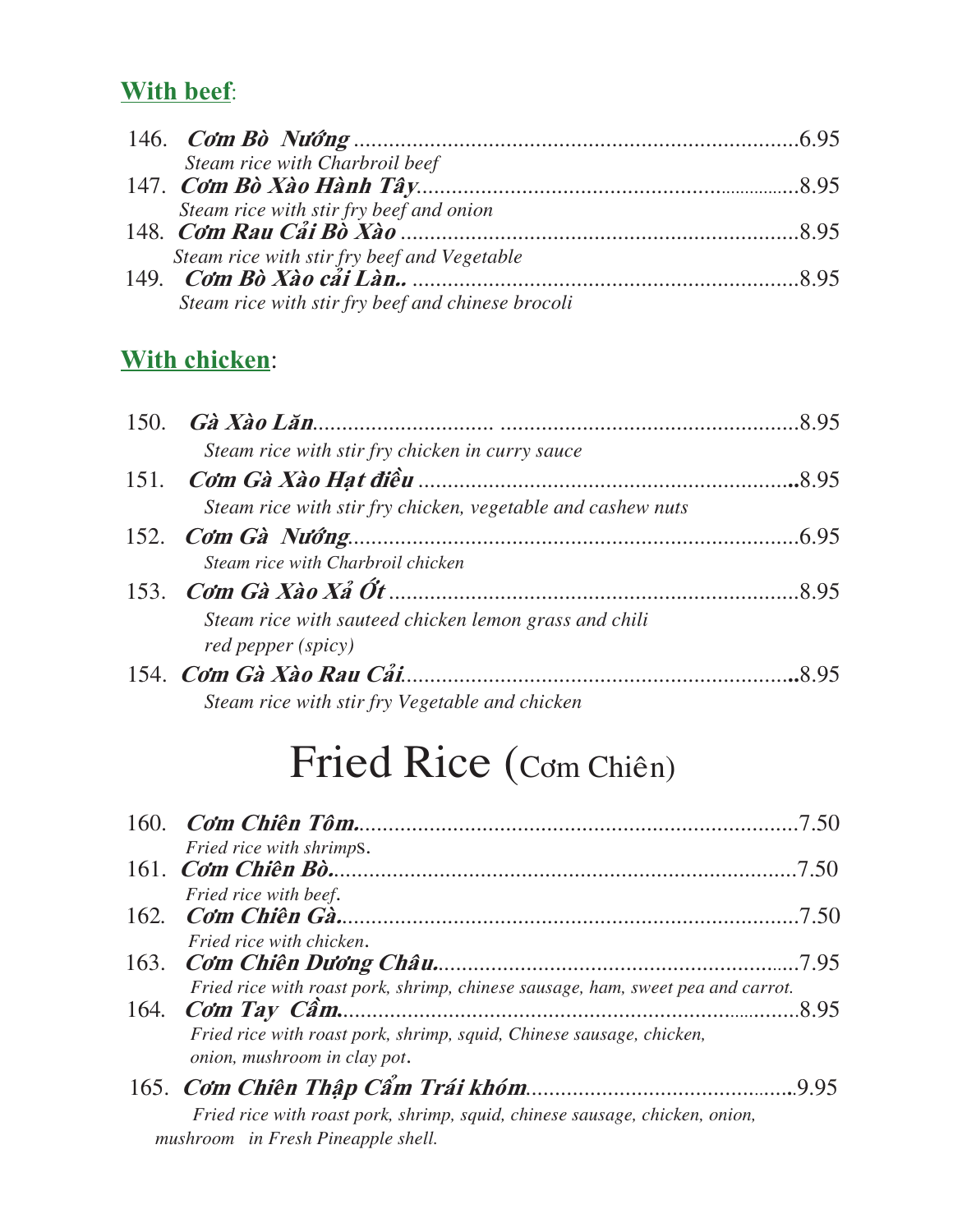#### **With beef**:

| Steam rice with Charbroil beef                    |  |
|---------------------------------------------------|--|
|                                                   |  |
| Steam rice with stir fry beef and onion           |  |
|                                                   |  |
| Steam rice with stir fry beef and Vegetable       |  |
|                                                   |  |
| Steam rice with stir fry beef and chinese brocoli |  |

#### **With chicken**:

|  | 150. <b>Gà Xào Lăn</b> (1950) $\vec{r}$ and $\vec{r}$ and $\vec{r}$ and $\vec{r}$ and $\vec{r}$ and $\vec{r}$ and $\vec{r}$ and $\vec{r}$ and $\vec{r}$ and $\vec{r}$ and $\vec{r}$ and $\vec{r}$ and $\vec{r}$ and $\vec{r}$ and $\vec{r}$ and $\vec{r}$ and $\vec{$ |  |
|--|-----------------------------------------------------------------------------------------------------------------------------------------------------------------------------------------------------------------------------------------------------------------------|--|
|  | Steam rice with stir fry chicken in curry sauce                                                                                                                                                                                                                       |  |
|  |                                                                                                                                                                                                                                                                       |  |
|  | Steam rice with stir fry chicken, vegetable and cashew nuts                                                                                                                                                                                                           |  |
|  |                                                                                                                                                                                                                                                                       |  |
|  | Steam rice with Charbroil chicken                                                                                                                                                                                                                                     |  |
|  |                                                                                                                                                                                                                                                                       |  |
|  | Steam rice with sauteed chicken lemon grass and chili                                                                                                                                                                                                                 |  |
|  | red pepper (spicy)                                                                                                                                                                                                                                                    |  |
|  |                                                                                                                                                                                                                                                                       |  |
|  | Steam rice with stir fry Vegetable and chicken                                                                                                                                                                                                                        |  |

## Fried Rice (Cơm Chiên)

| Fried rice with shrimps.                                                                             |       |
|------------------------------------------------------------------------------------------------------|-------|
|                                                                                                      | 7.50  |
| Fried rice with beef.                                                                                |       |
| Fried rice with chicken.                                                                             |       |
|                                                                                                      | .7.95 |
| Fried rice with roast pork, shrimp, chinese sausage, ham, sweet pea and carrot.                      |       |
| Fried rice with roast pork, shrimp, squid, Chinese sausage, chicken,<br>onion, mushroom in clay pot. |       |
|                                                                                                      |       |
| Fried rice with roast pork, shrimp, squid, chinese sausage, chicken, onion,                          |       |
| mushroom in Fresh Pineapple shell.                                                                   |       |